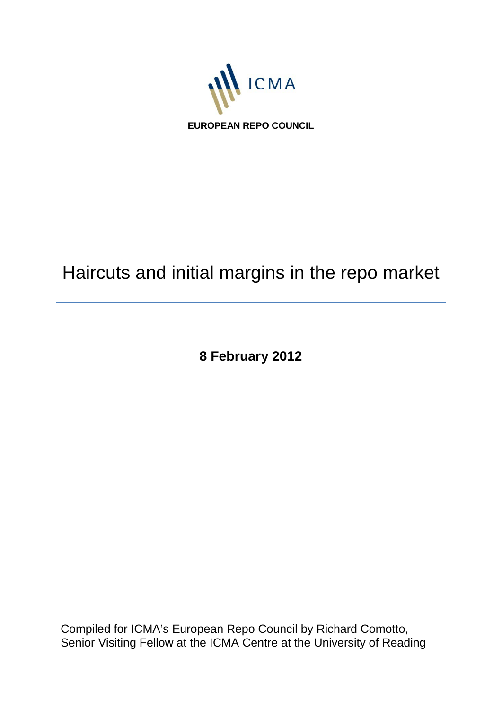

# Haircuts and initial margins in the repo market

**8 February 2012**

Compiled for ICMA's European Repo Council by Richard Comotto, Senior Visiting Fellow at the ICMA Centre at the University of Reading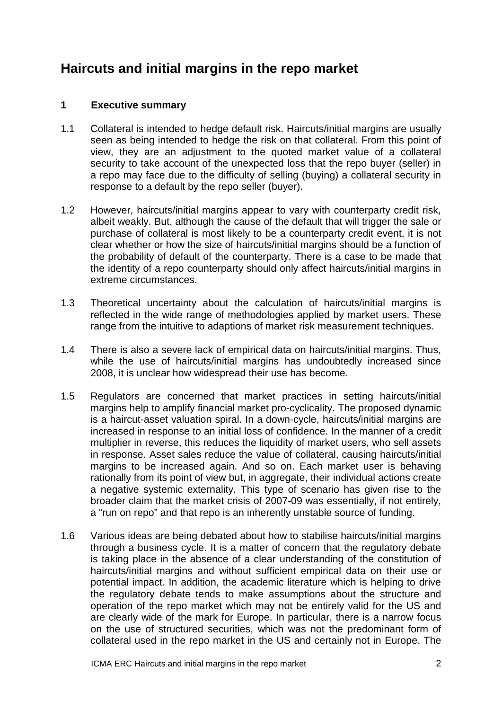## **Haircuts and initial margins in the repo market**

#### **1 Executive summary**

- 1.1 Collateral is intended to hedge default risk. Haircuts/initial margins are usually seen as being intended to hedge the risk on that collateral. From this point of view, they are an adjustment to the quoted market value of a collateral security to take account of the unexpected loss that the repo buyer (seller) in a repo may face due to the difficulty of selling (buying) a collateral security in response to a default by the repo seller (buyer).
- 1.2 However, haircuts/initial margins appear to vary with counterparty credit risk, albeit weakly. But, although the cause of the default that will trigger the sale or purchase of collateral is most likely to be a counterparty credit event, it is not clear whether or how the size of haircuts/initial margins should be a function of the probability of default of the counterparty. There is a case to be made that the identity of a repo counterparty should only affect haircuts/initial margins in extreme circumstances.
- 1.3 Theoretical uncertainty about the calculation of haircuts/initial margins is reflected in the wide range of methodologies applied by market users. These range from the intuitive to adaptions of market risk measurement techniques.
- 1.4 There is also a severe lack of empirical data on haircuts/initial margins. Thus, while the use of haircuts/initial margins has undoubtedly increased since 2008, it is unclear how widespread their use has become.
- 1.5 Regulators are concerned that market practices in setting haircuts/initial margins help to amplify financial market pro-cyclicality. The proposed dynamic is a haircut-asset valuation spiral. In a down-cycle, haircuts/initial margins are increased in response to an initial loss of confidence. In the manner of a credit multiplier in reverse, this reduces the liquidity of market users, who sell assets in response. Asset sales reduce the value of collateral, causing haircuts/initial margins to be increased again. And so on. Each market user is behaving rationally from its point of view but, in aggregate, their individual actions create a negative systemic externality. This type of scenario has given rise to the broader claim that the market crisis of 2007-09 was essentially, if not entirely, a "run on repo" and that repo is an inherently unstable source of funding.
- 1.6 Various ideas are being debated about how to stabilise haircuts/initial margins through a business cycle. It is a matter of concern that the regulatory debate is taking place in the absence of a clear understanding of the constitution of haircuts/initial margins and without sufficient empirical data on their use or potential impact. In addition, the academic literature which is helping to drive the regulatory debate tends to make assumptions about the structure and operation of the repo market which may not be entirely valid for the US and are clearly wide of the mark for Europe. In particular, there is a narrow focus on the use of structured securities, which was not the predominant form of collateral used in the repo market in the US and certainly not in Europe. The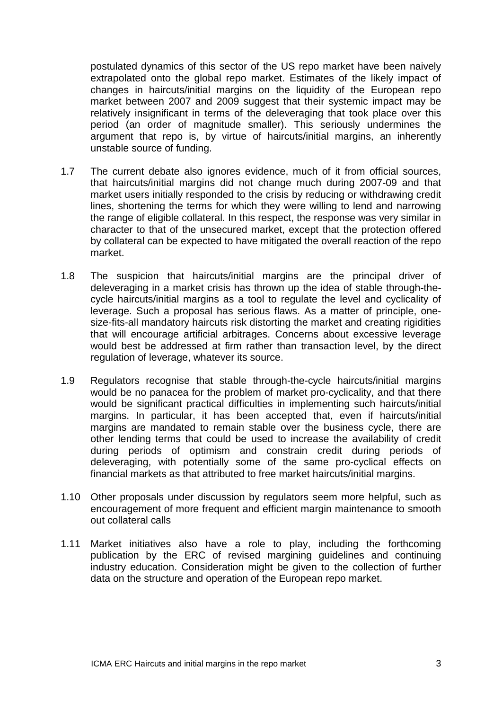postulated dynamics of this sector of the US repo market have been naively extrapolated onto the global repo market. Estimates of the likely impact of changes in haircuts/initial margins on the liquidity of the European repo market between 2007 and 2009 suggest that their systemic impact may be relatively insignificant in terms of the deleveraging that took place over this period (an order of magnitude smaller). This seriously undermines the argument that repo is, by virtue of haircuts/initial margins, an inherently unstable source of funding.

- 1.7 The current debate also ignores evidence, much of it from official sources, that haircuts/initial margins did not change much during 2007-09 and that market users initially responded to the crisis by reducing or withdrawing credit lines, shortening the terms for which they were willing to lend and narrowing the range of eligible collateral. In this respect, the response was very similar in character to that of the unsecured market, except that the protection offered by collateral can be expected to have mitigated the overall reaction of the repo market.
- 1.8 The suspicion that haircuts/initial margins are the principal driver of deleveraging in a market crisis has thrown up the idea of stable through-thecycle haircuts/initial margins as a tool to regulate the level and cyclicality of leverage. Such a proposal has serious flaws. As a matter of principle, onesize-fits-all mandatory haircuts risk distorting the market and creating rigidities that will encourage artificial arbitrages. Concerns about excessive leverage would best be addressed at firm rather than transaction level, by the direct regulation of leverage, whatever its source.
- 1.9 Regulators recognise that stable through-the-cycle haircuts/initial margins would be no panacea for the problem of market pro-cyclicality, and that there would be significant practical difficulties in implementing such haircuts/initial margins. In particular, it has been accepted that, even if haircuts/initial margins are mandated to remain stable over the business cycle, there are other lending terms that could be used to increase the availability of credit during periods of optimism and constrain credit during periods of deleveraging, with potentially some of the same pro-cyclical effects on financial markets as that attributed to free market haircuts/initial margins.
- 1.10 Other proposals under discussion by regulators seem more helpful, such as encouragement of more frequent and efficient margin maintenance to smooth out collateral calls
- 1.11 Market initiatives also have a role to play, including the forthcoming publication by the ERC of revised margining guidelines and continuing industry education. Consideration might be given to the collection of further data on the structure and operation of the European repo market.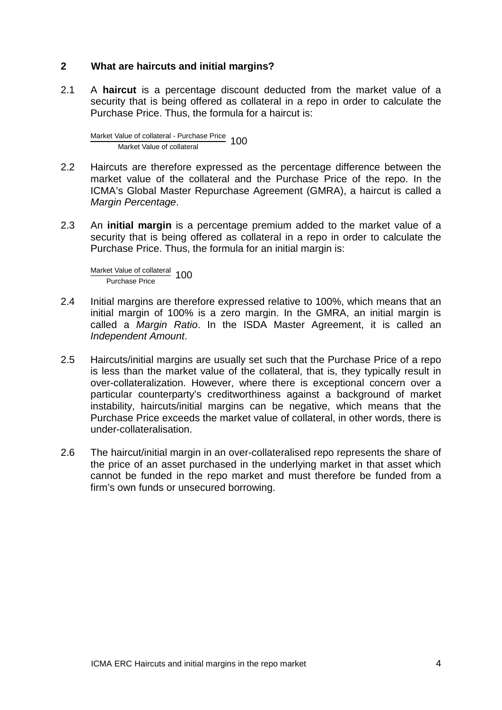#### **2 What are haircuts and initial margins?**

2.1 A **haircut** is a percentage discount deducted from the market value of a security that is being offered as collateral in a repo in order to calculate the Purchase Price. Thus, the formula for a haircut is:

Market Value of collateral - Purchase Price Market Value of collateral <sup>100</sup>

- 2.2 Haircuts are therefore expressed as the percentage difference between the market value of the collateral and the Purchase Price of the repo. In the ICMA's Global Master Repurchase Agreement (GMRA), a haircut is called a *Margin Percentage*.
- 2.3 An **initial margin** is a percentage premium added to the market value of a security that is being offered as collateral in a repo in order to calculate the Purchase Price. Thus, the formula for an initial margin is:

Market Value of collateral 100

- 2.4 Initial margins are therefore expressed relative to 100%, which means that an initial margin of 100% is a zero margin. In the GMRA, an initial margin is called a *Margin Ratio*. In the ISDA Master Agreement, it is called an *Independent Amount*.
- 2.5 Haircuts/initial margins are usually set such that the Purchase Price of a repo is less than the market value of the collateral, that is, they typically result in over-collateralization. However, where there is exceptional concern over a particular counterparty's creditworthiness against a background of market instability, haircuts/initial margins can be negative, which means that the Purchase Price exceeds the market value of collateral, in other words, there is under-collateralisation.
- 2.6 The haircut/initial margin in an over-collateralised repo represents the share of the price of an asset purchased in the underlying market in that asset which cannot be funded in the repo market and must therefore be funded from a firm's own funds or unsecured borrowing.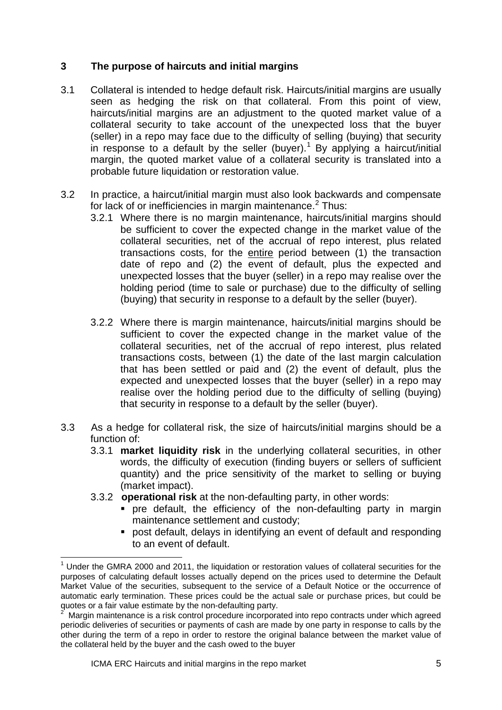#### **3 The purpose of haircuts and initial margins**

- 3.1 Collateral is intended to hedge default risk. Haircuts/initial margins are usually seen as hedging the risk on that collateral. From this point of view, haircuts/initial margins are an adjustment to the quoted market value of a collateral security to take account of the unexpected loss that the buyer (seller) in a repo may face due to the difficulty of selling (buying) that security in response to a default by the seller (buyer). [1](#page-4-0) By applying a haircut/initial margin, the quoted market value of a collateral security is translated into a probable future liquidation or restoration value.
- 3.2 In practice, a haircut/initial margin must also look backwards and compensate for lack of or inefficiencies in margin maintenance.<sup>[2](#page-4-1)</sup> Thus:
	- 3.2.1 Where there is no margin maintenance, haircuts/initial margins should be sufficient to cover the expected change in the market value of the collateral securities, net of the accrual of repo interest, plus related transactions costs, for the entire period between (1) the transaction date of repo and (2) the event of default, plus the expected and unexpected losses that the buyer (seller) in a repo may realise over the holding period (time to sale or purchase) due to the difficulty of selling (buying) that security in response to a default by the seller (buyer).
	- 3.2.2 Where there is margin maintenance, haircuts/initial margins should be sufficient to cover the expected change in the market value of the collateral securities, net of the accrual of repo interest, plus related transactions costs, between (1) the date of the last margin calculation that has been settled or paid and (2) the event of default, plus the expected and unexpected losses that the buyer (seller) in a repo may realise over the holding period due to the difficulty of selling (buying) that security in response to a default by the seller (buyer).
- 3.3 As a hedge for collateral risk, the size of haircuts/initial margins should be a function of:
	- 3.3.1 **market liquidity risk** in the underlying collateral securities, in other words, the difficulty of execution (finding buyers or sellers of sufficient quantity) and the price sensitivity of the market to selling or buying (market impact).
	- 3.3.2 **operational risk** at the non-defaulting party, in other words:
		- pre default, the efficiency of the non-defaulting party in margin maintenance settlement and custody;
		- post default, delays in identifying an event of default and responding to an event of default.

<span id="page-4-0"></span><sup>1</sup> Under the GMRA 2000 and 2011, the liquidation or restoration values of collateral securities for the purposes of calculating default losses actually depend on the prices used to determine the Default Market Value of the securities, subsequent to the service of a Default Notice or the occurrence of automatic early termination. These prices could be the actual sale or purchase prices, but could be quotes or a fair value estimate by the non-defaulting party. <sup>2</sup>

<span id="page-4-1"></span>Margin maintenance is a risk control procedure incorporated into repo contracts under which agreed periodic deliveries of securities or payments of cash are made by one party in response to calls by the other during the term of a repo in order to restore the original balance between the market value of the collateral held by the buyer and the cash owed to the buyer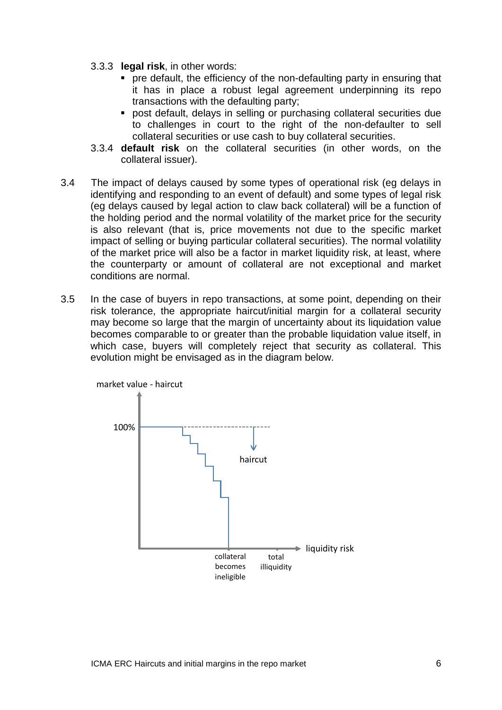- 3.3.3 **legal risk**, in other words:
	- pre default, the efficiency of the non-defaulting party in ensuring that it has in place a robust legal agreement underpinning its repo transactions with the defaulting party;
	- post default, delays in selling or purchasing collateral securities due to challenges in court to the right of the non-defaulter to sell collateral securities or use cash to buy collateral securities.
- 3.3.4 **default risk** on the collateral securities (in other words, on the collateral issuer).
- 3.4 The impact of delays caused by some types of operational risk (eg delays in identifying and responding to an event of default) and some types of legal risk (eg delays caused by legal action to claw back collateral) will be a function of the holding period and the normal volatility of the market price for the security is also relevant (that is, price movements not due to the specific market impact of selling or buying particular collateral securities). The normal volatility of the market price will also be a factor in market liquidity risk, at least, where the counterparty or amount of collateral are not exceptional and market conditions are normal.
- 3.5 In the case of buyers in repo transactions, at some point, depending on their risk tolerance, the appropriate haircut/initial margin for a collateral security may become so large that the margin of uncertainty about its liquidation value becomes comparable to or greater than the probable liquidation value itself, in which case, buyers will completely reject that security as collateral. This evolution might be envisaged as in the diagram below.

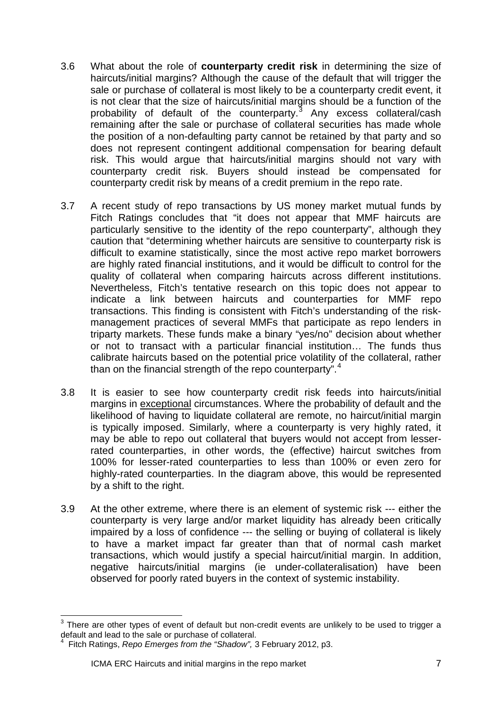- 3.6 What about the role of **counterparty credit risk** in determining the size of haircuts/initial margins? Although the cause of the default that will trigger the sale or purchase of collateral is most likely to be a counterparty credit event, it is not clear that the size of haircuts/initial margins should be a function of the probability of default of the counterparty.<sup>[3](#page-6-0)</sup> Any excess collateral/cash remaining after the sale or purchase of collateral securities has made whole the position of a non-defaulting party cannot be retained by that party and so does not represent contingent additional compensation for bearing default risk. This would argue that haircuts/initial margins should not vary with counterparty credit risk. Buyers should instead be compensated for counterparty credit risk by means of a credit premium in the repo rate.
- 3.7 A recent study of repo transactions by US money market mutual funds by Fitch Ratings concludes that "it does not appear that MMF haircuts are particularly sensitive to the identity of the repo counterparty", although they caution that "determining whether haircuts are sensitive to counterparty risk is difficult to examine statistically, since the most active repo market borrowers are highly rated financial institutions, and it would be difficult to control for the quality of collateral when comparing haircuts across different institutions. Nevertheless, Fitch's tentative research on this topic does not appear to indicate a link between haircuts and counterparties for MMF repo transactions. This finding is consistent with Fitch's understanding of the riskmanagement practices of several MMFs that participate as repo lenders in triparty markets. These funds make a binary "yes/no" decision about whether or not to transact with a particular financial institution… The funds thus calibrate haircuts based on the potential price volatility of the collateral, rather than on the financial strength of the repo counterparty".<sup>[4](#page-6-1)</sup>
- 3.8 It is easier to see how counterparty credit risk feeds into haircuts/initial margins in exceptional circumstances. Where the probability of default and the likelihood of having to liquidate collateral are remote, no haircut/initial margin is typically imposed. Similarly, where a counterparty is very highly rated, it may be able to repo out collateral that buyers would not accept from lesserrated counterparties, in other words, the (effective) haircut switches from 100% for lesser-rated counterparties to less than 100% or even zero for highly-rated counterparties. In the diagram above, this would be represented by a shift to the right.
- 3.9 At the other extreme, where there is an element of systemic risk --- either the counterparty is very large and/or market liquidity has already been critically impaired by a loss of confidence --- the selling or buying of collateral is likely to have a market impact far greater than that of normal cash market transactions, which would justify a special haircut/initial margin. In addition, negative haircuts/initial margins (ie under-collateralisation) have been observed for poorly rated buyers in the context of systemic instability.

<span id="page-6-1"></span><span id="page-6-0"></span> $3$  There are other types of event of default but non-credit events are unlikely to be used to trigger a default and lead to the sale or purchase of collateral.<br><sup>4</sup> Eitch Betings, Bang Emerges from the "Shadow"

Fitch Ratings, *Repo Emerges from the "Shadow",* 3 February 2012, p3.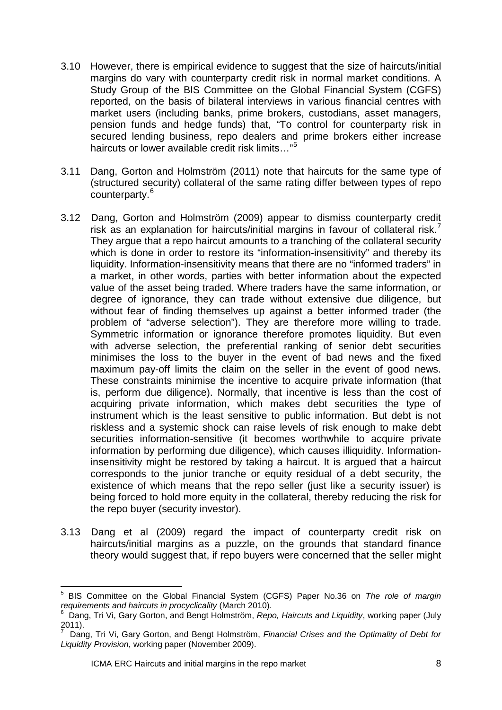- 3.10 However, there is empirical evidence to suggest that the size of haircuts/initial margins do vary with counterparty credit risk in normal market conditions. A Study Group of the BIS Committee on the Global Financial System (CGFS) reported, on the basis of bilateral interviews in various financial centres with market users (including banks, prime brokers, custodians, asset managers, pension funds and hedge funds) that, "To control for counterparty risk in secured lending business, repo dealers and prime brokers either increase haircuts or lower available credit risk limits…"[5](#page-7-0)
- 3.11 Dang, Gorton and Holmström (2011) note that haircuts for the same type of (structured security) collateral of the same rating differ between types of repo counterparty.[6](#page-7-1)
- 3.12 Dang, Gorton and Holmström (2009) appear to dismiss counterparty credit risk as an explanation for haircuts/initial margins in favour of collateral risk.<sup>[7](#page-7-2)</sup> They argue that a repo haircut amounts to a tranching of the collateral security which is done in order to restore its "information-insensitivity" and thereby its liquidity. Information-insensitivity means that there are no "informed traders" in a market, in other words, parties with better information about the expected value of the asset being traded. Where traders have the same information, or degree of ignorance, they can trade without extensive due diligence, but without fear of finding themselves up against a better informed trader (the problem of "adverse selection"). They are therefore more willing to trade. Symmetric information or ignorance therefore promotes liquidity. But even with adverse selection, the preferential ranking of senior debt securities minimises the loss to the buyer in the event of bad news and the fixed maximum pay-off limits the claim on the seller in the event of good news. These constraints minimise the incentive to acquire private information (that is, perform due diligence). Normally, that incentive is less than the cost of acquiring private information, which makes debt securities the type of instrument which is the least sensitive to public information. But debt is not riskless and a systemic shock can raise levels of risk enough to make debt securities information-sensitive (it becomes worthwhile to acquire private information by performing due diligence), which causes illiquidity. Informationinsensitivity might be restored by taking a haircut. It is argued that a haircut corresponds to the junior tranche or equity residual of a debt security, the existence of which means that the repo seller (just like a security issuer) is being forced to hold more equity in the collateral, thereby reducing the risk for the repo buyer (security investor).
- 3.13 Dang et al (2009) regard the impact of counterparty credit risk on haircuts/initial margins as a puzzle, on the grounds that standard finance theory would suggest that, if repo buyers were concerned that the seller might

<span id="page-7-0"></span><sup>5</sup> BIS Committee on the Global Financial System (CGFS) Paper No.36 on *The role of margin requirements and haircuts in procyclicality* (March 2010).

<span id="page-7-1"></span>Dang, Tri Vi, Gary Gorton, and Bengt Holmström, *Repo, Haircuts and Liquidity*, working paper (July 2011).

<span id="page-7-2"></span><sup>7</sup> Dang, Tri Vi, Gary Gorton, and Bengt Holmström, *Financial Crises and the Optimality of Debt for Liquidity Provision*, working paper (November 2009).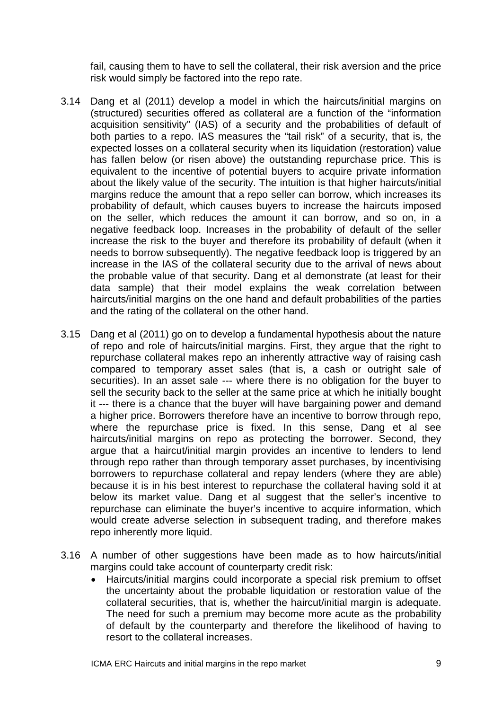fail, causing them to have to sell the collateral, their risk aversion and the price risk would simply be factored into the repo rate.

- 3.14 Dang et al (2011) develop a model in which the haircuts/initial margins on (structured) securities offered as collateral are a function of the "information acquisition sensitivity" (IAS) of a security and the probabilities of default of both parties to a repo. IAS measures the "tail risk" of a security, that is, the expected losses on a collateral security when its liquidation (restoration) value has fallen below (or risen above) the outstanding repurchase price. This is equivalent to the incentive of potential buyers to acquire private information about the likely value of the security. The intuition is that higher haircuts/initial margins reduce the amount that a repo seller can borrow, which increases its probability of default, which causes buyers to increase the haircuts imposed on the seller, which reduces the amount it can borrow, and so on, in a negative feedback loop. Increases in the probability of default of the seller increase the risk to the buyer and therefore its probability of default (when it needs to borrow subsequently). The negative feedback loop is triggered by an increase in the IAS of the collateral security due to the arrival of news about the probable value of that security. Dang et al demonstrate (at least for their data sample) that their model explains the weak correlation between haircuts/initial margins on the one hand and default probabilities of the parties and the rating of the collateral on the other hand.
- 3.15 Dang et al (2011) go on to develop a fundamental hypothesis about the nature of repo and role of haircuts/initial margins. First, they argue that the right to repurchase collateral makes repo an inherently attractive way of raising cash compared to temporary asset sales (that is, a cash or outright sale of securities). In an asset sale --- where there is no obligation for the buyer to sell the security back to the seller at the same price at which he initially bought it --- there is a chance that the buyer will have bargaining power and demand a higher price. Borrowers therefore have an incentive to borrow through repo, where the repurchase price is fixed. In this sense, Dang et al see haircuts/initial margins on repo as protecting the borrower. Second, they argue that a haircut/initial margin provides an incentive to lenders to lend through repo rather than through temporary asset purchases, by incentivising borrowers to repurchase collateral and repay lenders (where they are able) because it is in his best interest to repurchase the collateral having sold it at below its market value. Dang et al suggest that the seller's incentive to repurchase can eliminate the buyer's incentive to acquire information, which would create adverse selection in subsequent trading, and therefore makes repo inherently more liquid.
- 3.16 A number of other suggestions have been made as to how haircuts/initial margins could take account of counterparty credit risk:
	- Haircuts/initial margins could incorporate a special risk premium to offset the uncertainty about the probable liquidation or restoration value of the collateral securities, that is, whether the haircut/initial margin is adequate. The need for such a premium may become more acute as the probability of default by the counterparty and therefore the likelihood of having to resort to the collateral increases.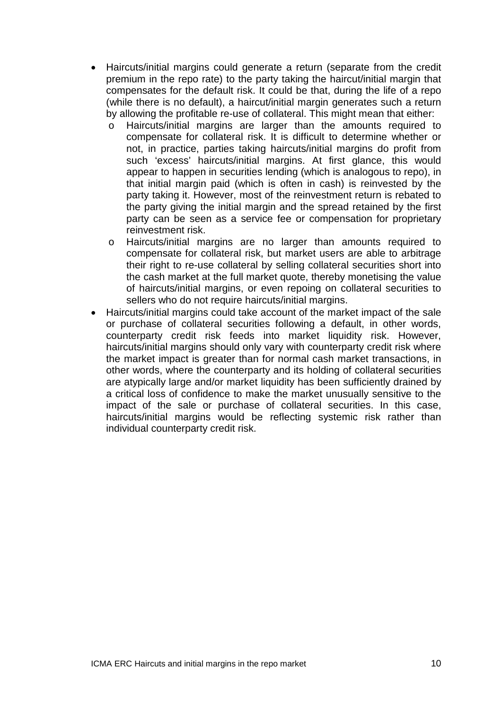- Haircuts/initial margins could generate a return (separate from the credit premium in the repo rate) to the party taking the haircut/initial margin that compensates for the default risk. It could be that, during the life of a repo (while there is no default), a haircut/initial margin generates such a return by allowing the profitable re-use of collateral. This might mean that either:
	- o Haircuts/initial margins are larger than the amounts required to compensate for collateral risk. It is difficult to determine whether or not, in practice, parties taking haircuts/initial margins do profit from such 'excess' haircuts/initial margins. At first glance, this would appear to happen in securities lending (which is analogous to repo), in that initial margin paid (which is often in cash) is reinvested by the party taking it. However, most of the reinvestment return is rebated to the party giving the initial margin and the spread retained by the first party can be seen as a service fee or compensation for proprietary reinvestment risk.
	- o Haircuts/initial margins are no larger than amounts required to compensate for collateral risk, but market users are able to arbitrage their right to re-use collateral by selling collateral securities short into the cash market at the full market quote, thereby monetising the value of haircuts/initial margins, or even repoing on collateral securities to sellers who do not require haircuts/initial margins.
- Haircuts/initial margins could take account of the market impact of the sale or purchase of collateral securities following a default, in other words, counterparty credit risk feeds into market liquidity risk. However, haircuts/initial margins should only vary with counterparty credit risk where the market impact is greater than for normal cash market transactions, in other words, where the counterparty and its holding of collateral securities are atypically large and/or market liquidity has been sufficiently drained by a critical loss of confidence to make the market unusually sensitive to the impact of the sale or purchase of collateral securities. In this case, haircuts/initial margins would be reflecting systemic risk rather than individual counterparty credit risk.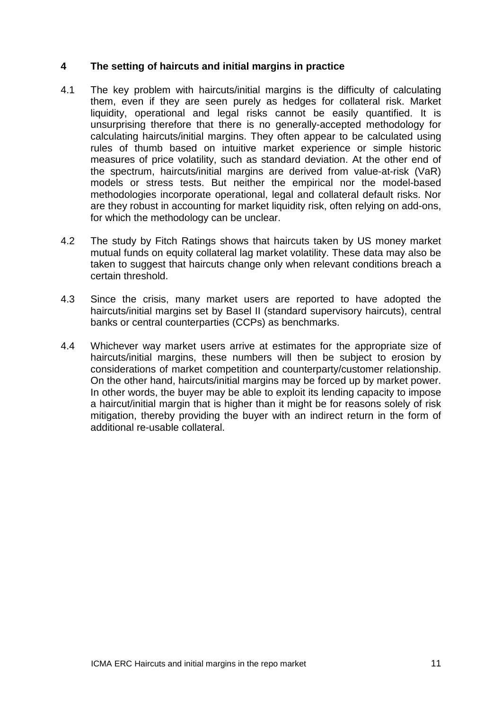#### **4 The setting of haircuts and initial margins in practice**

- 4.1 The key problem with haircuts/initial margins is the difficulty of calculating them, even if they are seen purely as hedges for collateral risk. Market liquidity, operational and legal risks cannot be easily quantified. It is unsurprising therefore that there is no generally-accepted methodology for calculating haircuts/initial margins. They often appear to be calculated using rules of thumb based on intuitive market experience or simple historic measures of price volatility, such as standard deviation. At the other end of the spectrum, haircuts/initial margins are derived from value-at-risk (VaR) models or stress tests. But neither the empirical nor the model-based methodologies incorporate operational, legal and collateral default risks. Nor are they robust in accounting for market liquidity risk, often relying on add-ons, for which the methodology can be unclear.
- 4.2 The study by Fitch Ratings shows that haircuts taken by US money market mutual funds on equity collateral lag market volatility. These data may also be taken to suggest that haircuts change only when relevant conditions breach a certain threshold.
- 4.3 Since the crisis, many market users are reported to have adopted the haircuts/initial margins set by Basel II (standard supervisory haircuts), central banks or central counterparties (CCPs) as benchmarks.
- 4.4 Whichever way market users arrive at estimates for the appropriate size of haircuts/initial margins, these numbers will then be subject to erosion by considerations of market competition and counterparty/customer relationship. On the other hand, haircuts/initial margins may be forced up by market power. In other words, the buyer may be able to exploit its lending capacity to impose a haircut/initial margin that is higher than it might be for reasons solely of risk mitigation, thereby providing the buyer with an indirect return in the form of additional re-usable collateral.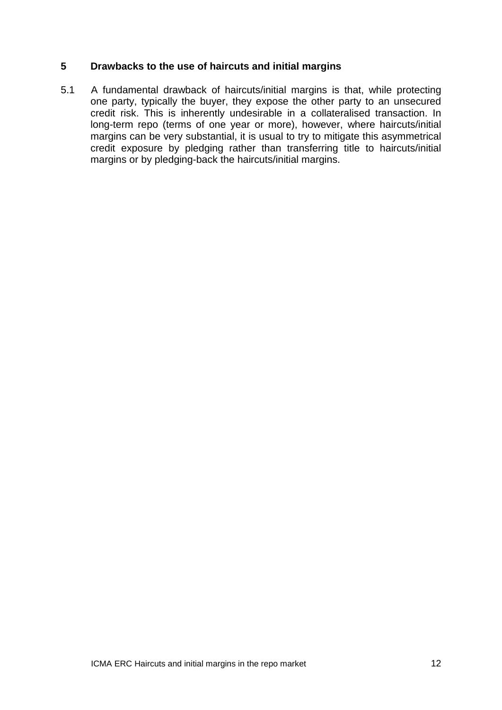#### **5 Drawbacks to the use of haircuts and initial margins**

5.1 A fundamental drawback of haircuts/initial margins is that, while protecting one party, typically the buyer, they expose the other party to an unsecured credit risk. This is inherently undesirable in a collateralised transaction. In long-term repo (terms of one year or more), however, where haircuts/initial margins can be very substantial, it is usual to try to mitigate this asymmetrical credit exposure by pledging rather than transferring title to haircuts/initial margins or by pledging-back the haircuts/initial margins.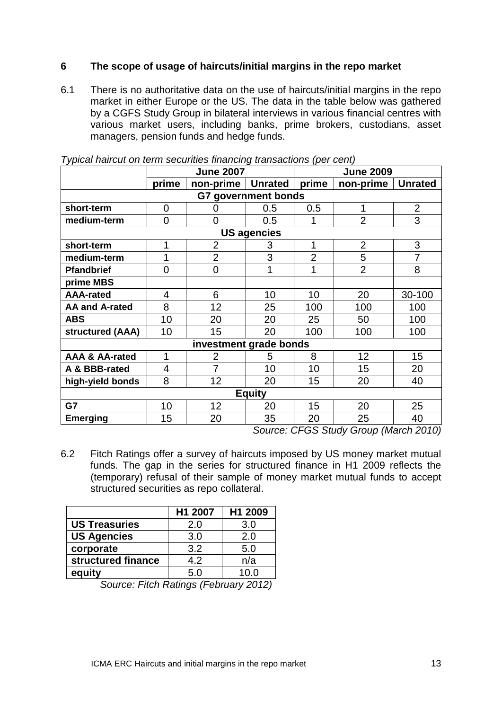#### **6 The scope of usage of haircuts/initial margins in the repo market**

6.1 There is no authoritative data on the use of haircuts/initial margins in the repo market in either Europe or the US. The data in the table below was gathered by a CGFS Study Group in bilateral interviews in various financial centres with various market users, including banks, prime brokers, custodians, asset managers, pension funds and hedge funds.

|                           | <b>June 2007</b> |                |                | <b>June 2009</b> |                |                |  |  |  |  |
|---------------------------|------------------|----------------|----------------|------------------|----------------|----------------|--|--|--|--|
|                           | prime            | non-prime      | <b>Unrated</b> | prime            | non-prime      | <b>Unrated</b> |  |  |  |  |
| G7 government bonds       |                  |                |                |                  |                |                |  |  |  |  |
| short-term                | $\overline{0}$   | 0              | 0.5            | 0.5              | 1              | $\overline{2}$ |  |  |  |  |
| medium-term               | $\overline{0}$   | $\mathbf 0$    | 0.5            |                  | $\overline{2}$ | 3              |  |  |  |  |
| <b>US agencies</b>        |                  |                |                |                  |                |                |  |  |  |  |
| short-term                | 1                | $\overline{2}$ | 3              | 1                | $\overline{2}$ | 3              |  |  |  |  |
| medium-term               | 1                | $\overline{2}$ | 3              | $\overline{2}$   | 5              | $\overline{7}$ |  |  |  |  |
| <b>Pfandbrief</b>         | $\overline{0}$   | $\overline{0}$ | 1              | 1                | $\overline{2}$ | 8              |  |  |  |  |
| prime MBS                 |                  |                |                |                  |                |                |  |  |  |  |
| <b>AAA-rated</b>          | 4                | 6              | 10             | 10               | 20             | 30-100         |  |  |  |  |
| <b>AA and A-rated</b>     | 8                | 12             | 25             | 100              | 100            | 100            |  |  |  |  |
| <b>ABS</b>                | 10               | 20             | 20             | 25               | 50             | 100            |  |  |  |  |
| <b>structured (AAA)</b>   | 10               | 15             | 20             | 100              | 100            | 100            |  |  |  |  |
| investment grade bonds    |                  |                |                |                  |                |                |  |  |  |  |
| <b>AAA &amp; AA-rated</b> | 1                | $\overline{2}$ | 5              | 8                | 12             | 15             |  |  |  |  |
| A & BBB-rated             | 4                | $\overline{7}$ | 10             | 10               | 15             | 20             |  |  |  |  |
| high-yield bonds          | 8                | 12             | 20             | 15               | 20             | 40             |  |  |  |  |
| <b>Equity</b>             |                  |                |                |                  |                |                |  |  |  |  |
| G7                        | 10               | 12             | 20             | 15               | 20             | 25             |  |  |  |  |
| <b>Emerging</b>           | 15               | 20             | 35             | 20               | 25             | 40             |  |  |  |  |

*Typical haircut on term securities financing transactions (per cent)*

*Source: CFGS Study Group (March 2010)*

6.2 Fitch Ratings offer a survey of haircuts imposed by US money market mutual funds. The gap in the series for structured finance in H1 2009 reflects the (temporary) refusal of their sample of money market mutual funds to accept structured securities as repo collateral.

|                      | H1 2007 | H1 2009 |
|----------------------|---------|---------|
| <b>US Treasuries</b> | 2.0     | 3.0     |
| <b>US Agencies</b>   | 3.0     | 2.0     |
| corporate            | 3.2     | 5.0     |
| structured finance   | 4.2     | n/a     |
| equity               | 5.0     | 1ሰ በ    |

*Source: Fitch Ratings (February 2012)*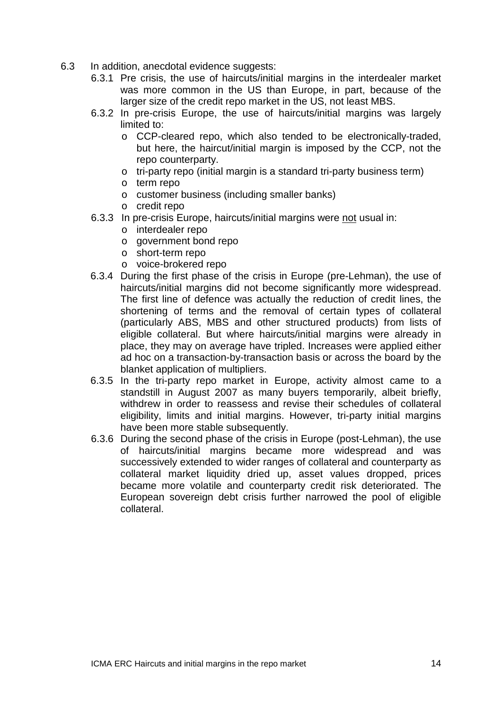- 6.3 In addition, anecdotal evidence suggests:
	- 6.3.1 Pre crisis, the use of haircuts/initial margins in the interdealer market was more common in the US than Europe, in part, because of the larger size of the credit repo market in the US, not least MBS.
	- 6.3.2 In pre-crisis Europe, the use of haircuts/initial margins was largely limited to:
		- o CCP-cleared repo, which also tended to be electronically-traded, but here, the haircut/initial margin is imposed by the CCP, not the repo counterparty.
		- o tri-party repo (initial margin is a standard tri-party business term)
		- o term repo
		- o customer business (including smaller banks)
		- o credit repo
	- 6.3.3 In pre-crisis Europe, haircuts/initial margins were not usual in:
		- o interdealer repo
		- o government bond repo
		- o short-term repo
		- o voice-brokered repo
	- 6.3.4 During the first phase of the crisis in Europe (pre-Lehman), the use of haircuts/initial margins did not become significantly more widespread. The first line of defence was actually the reduction of credit lines, the shortening of terms and the removal of certain types of collateral (particularly ABS, MBS and other structured products) from lists of eligible collateral. But where haircuts/initial margins were already in place, they may on average have tripled. Increases were applied either ad hoc on a transaction-by-transaction basis or across the board by the blanket application of multipliers.
	- 6.3.5 In the tri-party repo market in Europe, activity almost came to a standstill in August 2007 as many buyers temporarily, albeit briefly, withdrew in order to reassess and revise their schedules of collateral eligibility, limits and initial margins. However, tri-party initial margins have been more stable subsequently.
	- 6.3.6 During the second phase of the crisis in Europe (post-Lehman), the use of haircuts/initial margins became more widespread and was successively extended to wider ranges of collateral and counterparty as collateral market liquidity dried up, asset values dropped, prices became more volatile and counterparty credit risk deteriorated. The European sovereign debt crisis further narrowed the pool of eligible collateral.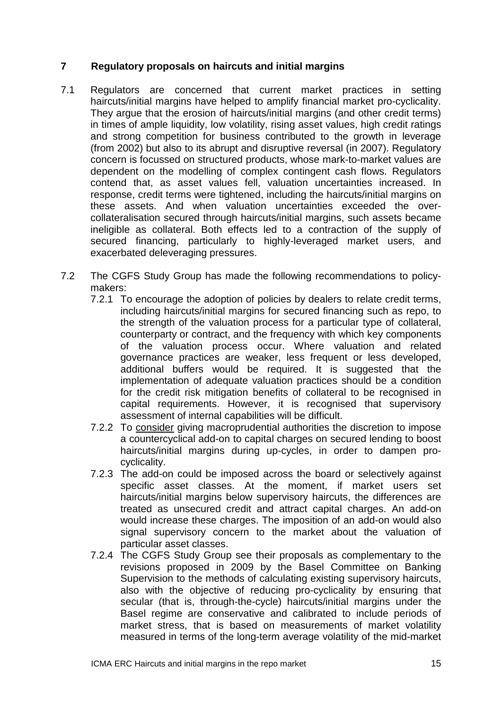### **7 Regulatory proposals on haircuts and initial margins**

- 7.1 Regulators are concerned that current market practices in setting haircuts/initial margins have helped to amplify financial market pro-cyclicality. They argue that the erosion of haircuts/initial margins (and other credit terms) in times of ample liquidity, low volatility, rising asset values, high credit ratings and strong competition for business contributed to the growth in leverage (from 2002) but also to its abrupt and disruptive reversal (in 2007). Regulatory concern is focussed on structured products, whose mark-to-market values are dependent on the modelling of complex contingent cash flows. Regulators contend that, as asset values fell, valuation uncertainties increased. In response, credit terms were tightened, including the haircuts/initial margins on these assets. And when valuation uncertainties exceeded the overcollateralisation secured through haircuts/initial margins, such assets became ineligible as collateral. Both effects led to a contraction of the supply of secured financing, particularly to highly-leveraged market users, and exacerbated deleveraging pressures.
- 7.2 The CGFS Study Group has made the following recommendations to policymakers:
	- 7.2.1 To encourage the adoption of policies by dealers to relate credit terms, including haircuts/initial margins for secured financing such as repo, to the strength of the valuation process for a particular type of collateral, counterparty or contract, and the frequency with which key components of the valuation process occur. Where valuation and related governance practices are weaker, less frequent or less developed, additional buffers would be required. It is suggested that the implementation of adequate valuation practices should be a condition for the credit risk mitigation benefits of collateral to be recognised in capital requirements. However, it is recognised that supervisory assessment of internal capabilities will be difficult.
	- 7.2.2 To consider giving macroprudential authorities the discretion to impose a countercyclical add-on to capital charges on secured lending to boost haircuts/initial margins during up-cycles, in order to dampen procyclicality.
	- 7.2.3 The add-on could be imposed across the board or selectively against specific asset classes. At the moment, if market users set haircuts/initial margins below supervisory haircuts, the differences are treated as unsecured credit and attract capital charges. An add-on would increase these charges. The imposition of an add-on would also signal supervisory concern to the market about the valuation of particular asset classes.
	- 7.2.4 The CGFS Study Group see their proposals as complementary to the revisions proposed in 2009 by the Basel Committee on Banking Supervision to the methods of calculating existing supervisory haircuts, also with the objective of reducing pro-cyclicality by ensuring that secular (that is, through-the-cycle) haircuts/initial margins under the Basel regime are conservative and calibrated to include periods of market stress, that is based on measurements of market volatility measured in terms of the long-term average volatility of the mid-market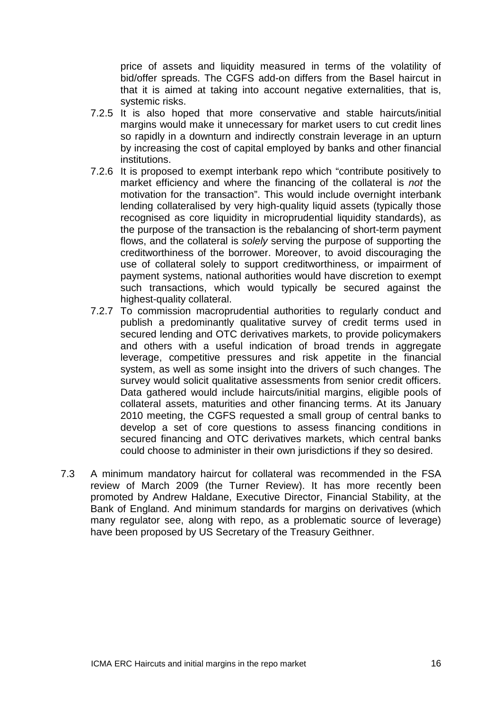price of assets and liquidity measured in terms of the volatility of bid/offer spreads. The CGFS add-on differs from the Basel haircut in that it is aimed at taking into account negative externalities, that is, systemic risks.

- 7.2.5 It is also hoped that more conservative and stable haircuts/initial margins would make it unnecessary for market users to cut credit lines so rapidly in a downturn and indirectly constrain leverage in an upturn by increasing the cost of capital employed by banks and other financial institutions.
- 7.2.6 It is proposed to exempt interbank repo which "contribute positively to market efficiency and where the financing of the collateral is *not* the motivation for the transaction". This would include overnight interbank lending collateralised by very high-quality liquid assets (typically those recognised as core liquidity in microprudential liquidity standards), as the purpose of the transaction is the rebalancing of short-term payment flows, and the collateral is *solely* serving the purpose of supporting the creditworthiness of the borrower. Moreover, to avoid discouraging the use of collateral solely to support creditworthiness, or impairment of payment systems, national authorities would have discretion to exempt such transactions, which would typically be secured against the highest-quality collateral.
- 7.2.7 To commission macroprudential authorities to regularly conduct and publish a predominantly qualitative survey of credit terms used in secured lending and OTC derivatives markets, to provide policymakers and others with a useful indication of broad trends in aggregate leverage, competitive pressures and risk appetite in the financial system, as well as some insight into the drivers of such changes. The survey would solicit qualitative assessments from senior credit officers. Data gathered would include haircuts/initial margins, eligible pools of collateral assets, maturities and other financing terms. At its January 2010 meeting, the CGFS requested a small group of central banks to develop a set of core questions to assess financing conditions in secured financing and OTC derivatives markets, which central banks could choose to administer in their own jurisdictions if they so desired.
- 7.3 A minimum mandatory haircut for collateral was recommended in the FSA review of March 2009 (the Turner Review). It has more recently been promoted by Andrew Haldane, Executive Director, Financial Stability, at the Bank of England. And minimum standards for margins on derivatives (which many regulator see, along with repo, as a problematic source of leverage) have been proposed by US Secretary of the Treasury Geithner.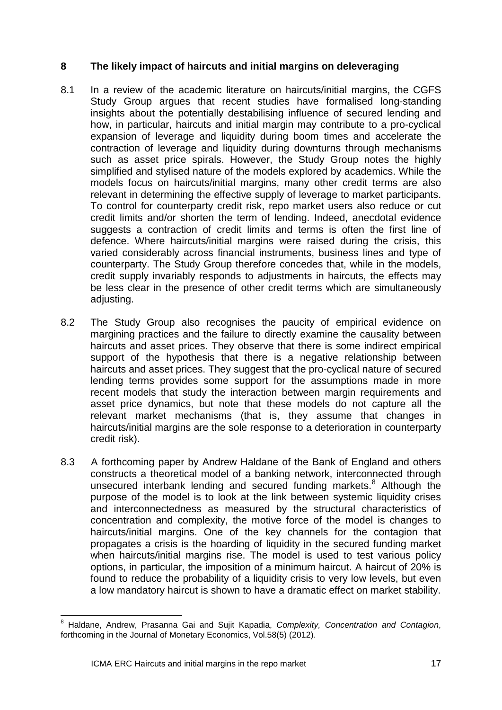#### **8 The likely impact of haircuts and initial margins on deleveraging**

- 8.1 In a review of the academic literature on haircuts/initial margins, the CGFS Study Group argues that recent studies have formalised long-standing insights about the potentially destabilising influence of secured lending and how, in particular, haircuts and initial margin may contribute to a pro-cyclical expansion of leverage and liquidity during boom times and accelerate the contraction of leverage and liquidity during downturns through mechanisms such as asset price spirals. However, the Study Group notes the highly simplified and stylised nature of the models explored by academics. While the models focus on haircuts/initial margins, many other credit terms are also relevant in determining the effective supply of leverage to market participants. To control for counterparty credit risk, repo market users also reduce or cut credit limits and/or shorten the term of lending. Indeed, anecdotal evidence suggests a contraction of credit limits and terms is often the first line of defence. Where haircuts/initial margins were raised during the crisis, this varied considerably across financial instruments, business lines and type of counterparty. The Study Group therefore concedes that, while in the models, credit supply invariably responds to adjustments in haircuts, the effects may be less clear in the presence of other credit terms which are simultaneously adjusting.
- 8.2 The Study Group also recognises the paucity of empirical evidence on margining practices and the failure to directly examine the causality between haircuts and asset prices. They observe that there is some indirect empirical support of the hypothesis that there is a negative relationship between haircuts and asset prices. They suggest that the pro-cyclical nature of secured lending terms provides some support for the assumptions made in more recent models that study the interaction between margin requirements and asset price dynamics, but note that these models do not capture all the relevant market mechanisms (that is, they assume that changes in haircuts/initial margins are the sole response to a deterioration in counterparty credit risk).
- 8.3 A forthcoming paper by Andrew Haldane of the Bank of England and others constructs a theoretical model of a banking network, interconnected through unsecured interbank lending and secured funding markets.<sup>[8](#page-16-0)</sup> Although the purpose of the model is to look at the link between systemic liquidity crises and interconnectedness as measured by the structural characteristics of concentration and complexity, the motive force of the model is changes to haircuts/initial margins. One of the key channels for the contagion that propagates a crisis is the hoarding of liquidity in the secured funding market when haircuts/initial margins rise. The model is used to test various policy options, in particular, the imposition of a minimum haircut. A haircut of 20% is found to reduce the probability of a liquidity crisis to very low levels, but even a low mandatory haircut is shown to have a dramatic effect on market stability.

<span id="page-16-0"></span><sup>8</sup> Haldane, Andrew, Prasanna Gai and Sujit Kapadia, *Complexity, Concentration and Contagion*, forthcoming in the Journal of Monetary Economics, Vol.58(5) (2012).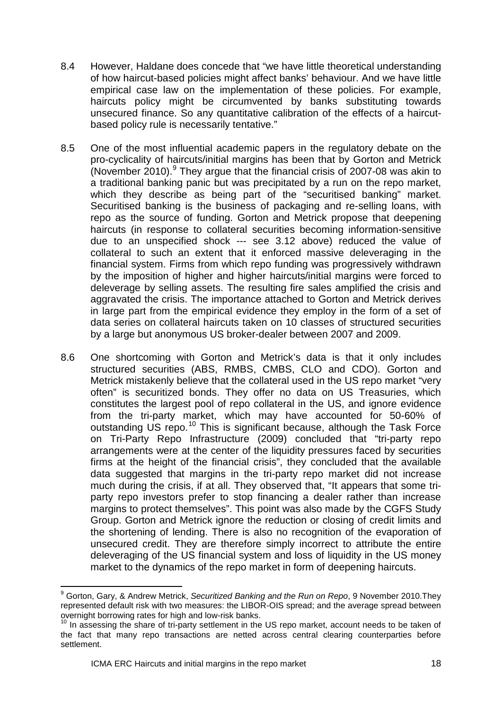- 8.4 However, Haldane does concede that "we have little theoretical understanding of how haircut-based policies might affect banks' behaviour. And we have little empirical case law on the implementation of these policies. For example, haircuts policy might be circumvented by banks substituting towards unsecured finance. So any quantitative calibration of the effects of a haircutbased policy rule is necessarily tentative."
- 8.5 One of the most influential academic papers in the regulatory debate on the pro-cyclicality of haircuts/initial margins has been that by Gorton and Metrick (November 2010). $9$  They argue that the financial crisis of 2007-08 was akin to a traditional banking panic but was precipitated by a run on the repo market, which they describe as being part of the "securitised banking" market. Securitised banking is the business of packaging and re-selling loans, with repo as the source of funding. Gorton and Metrick propose that deepening haircuts (in response to collateral securities becoming information-sensitive due to an unspecified shock --- see 3.12 above) reduced the value of collateral to such an extent that it enforced massive deleveraging in the financial system. Firms from which repo funding was progressively withdrawn by the imposition of higher and higher haircuts/initial margins were forced to deleverage by selling assets. The resulting fire sales amplified the crisis and aggravated the crisis. The importance attached to Gorton and Metrick derives in large part from the empirical evidence they employ in the form of a set of data series on collateral haircuts taken on 10 classes of structured securities by a large but anonymous US broker-dealer between 2007 and 2009.
- 8.6 One shortcoming with Gorton and Metrick's data is that it only includes structured securities (ABS, RMBS, CMBS, CLO and CDO). Gorton and Metrick mistakenly believe that the collateral used in the US repo market "very often" is securitized bonds. They offer no data on US Treasuries, which constitutes the largest pool of repo collateral in the US, and ignore evidence from the tri-party market, which may have accounted for 50-60% of outstanding US repo.<sup>[10](#page-17-1)</sup> This is significant because, although the Task Force on Tri-Party Repo Infrastructure (2009) concluded that "tri-party repo arrangements were at the center of the liquidity pressures faced by securities firms at the height of the financial crisis", they concluded that the available data suggested that margins in the tri-party repo market did not increase much during the crisis, if at all. They observed that, "It appears that some triparty repo investors prefer to stop financing a dealer rather than increase margins to protect themselves". This point was also made by the CGFS Study Group. Gorton and Metrick ignore the reduction or closing of credit limits and the shortening of lending. There is also no recognition of the evaporation of unsecured credit. They are therefore simply incorrect to attribute the entire deleveraging of the US financial system and loss of liquidity in the US money market to the dynamics of the repo market in form of deepening haircuts.

<span id="page-17-0"></span><sup>9</sup> Gorton, Gary, & Andrew Metrick, *Securitized Banking and the Run on Repo*, 9 November 2010.They represented default risk with two measures: the LIBOR-OIS spread; and the average spread between overnight borrowing rates for high and low-risk banks.

<span id="page-17-1"></span><sup>&</sup>lt;sup>10</sup> In assessing the share of tri-party settlement in the US repo market, account needs to be taken of the fact that many repo transactions are netted across central clearing counterparties before settlement.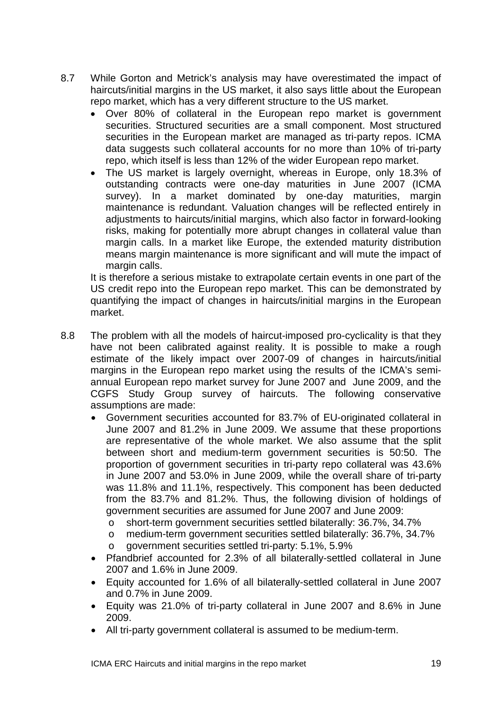- 8.7 While Gorton and Metrick's analysis may have overestimated the impact of haircuts/initial margins in the US market, it also says little about the European repo market, which has a very different structure to the US market.
	- Over 80% of collateral in the European repo market is government securities. Structured securities are a small component. Most structured securities in the European market are managed as tri-party repos. ICMA data suggests such collateral accounts for no more than 10% of tri-party repo, which itself is less than 12% of the wider European repo market.
	- The US market is largely overnight, whereas in Europe, only 18.3% of outstanding contracts were one-day maturities in June 2007 (ICMA survey). In a market dominated by one-day maturities, margin maintenance is redundant. Valuation changes will be reflected entirely in adjustments to haircuts/initial margins, which also factor in forward-looking risks, making for potentially more abrupt changes in collateral value than margin calls. In a market like Europe, the extended maturity distribution means margin maintenance is more significant and will mute the impact of margin calls.

It is therefore a serious mistake to extrapolate certain events in one part of the US credit repo into the European repo market. This can be demonstrated by quantifying the impact of changes in haircuts/initial margins in the European market.

- 8.8 The problem with all the models of haircut-imposed pro-cyclicality is that they have not been calibrated against reality. It is possible to make a rough estimate of the likely impact over 2007-09 of changes in haircuts/initial margins in the European repo market using the results of the ICMA's semiannual European repo market survey for June 2007 and June 2009, and the CGFS Study Group survey of haircuts. The following conservative assumptions are made:
	- Government securities accounted for 83.7% of EU-originated collateral in June 2007 and 81.2% in June 2009. We assume that these proportions are representative of the whole market. We also assume that the split between short and medium-term government securities is 50:50. The proportion of government securities in tri-party repo collateral was 43.6% in June 2007 and 53.0% in June 2009, while the overall share of tri-party was 11.8% and 11.1%, respectively. This component has been deducted from the 83.7% and 81.2%. Thus, the following division of holdings of government securities are assumed for June 2007 and June 2009:
		- o short-term government securities settled bilaterally: 36.7%, 34.7%<br>o medium-term government securities settled bilaterally: 36.7%, 34.7
		- medium-term government securities settled bilaterally: 36.7%, 34.7%
		- o government securities settled tri-party: 5.1%, 5.9%
	- Pfandbrief accounted for 2.3% of all bilaterally-settled collateral in June 2007 and 1.6% in June 2009.
	- Equity accounted for 1.6% of all bilaterally-settled collateral in June 2007 and 0.7% in June 2009.
	- Equity was 21.0% of tri-party collateral in June 2007 and 8.6% in June 2009.
	- All tri-party government collateral is assumed to be medium-term.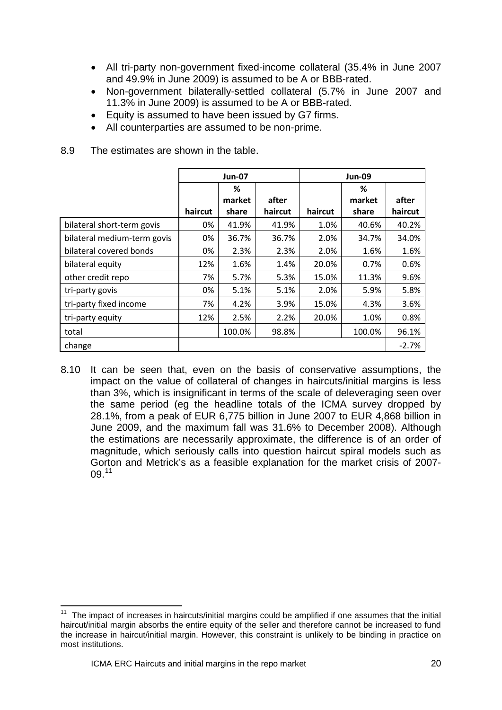- All tri-party non-government fixed-income collateral (35.4% in June 2007 and 49.9% in June 2009) is assumed to be A or BBB-rated.
- Non-government bilaterally-settled collateral (5.7% in June 2007 and 11.3% in June 2009) is assumed to be A or BBB-rated.
- Equity is assumed to have been issued by G7 firms.
- All counterparties are assumed to be non-prime.

|                             |         | <b>Jun-07</b> |         | <b>Jun-09</b> |        |         |  |
|-----------------------------|---------|---------------|---------|---------------|--------|---------|--|
|                             |         | ℅             |         |               | ℅      |         |  |
|                             |         | market        | after   |               | market | after   |  |
|                             | haircut | share         | haircut | haircut       | share  | haircut |  |
| bilateral short-term govis  | 0%      | 41.9%         | 41.9%   | 1.0%          | 40.6%  | 40.2%   |  |
| bilateral medium-term govis | 0%      | 36.7%         | 36.7%   | 2.0%          | 34.7%  | 34.0%   |  |
| bilateral covered bonds     | 0%      | 2.3%          | 2.3%    | 2.0%          | 1.6%   | 1.6%    |  |
| bilateral equity            | 12%     | 1.6%          | 1.4%    | 20.0%         | 0.7%   | 0.6%    |  |
| other credit repo           | 7%      | 5.7%          | 5.3%    | 15.0%         | 11.3%  | 9.6%    |  |
| tri-party govis             | 0%      | 5.1%          | 5.1%    | 2.0%          | 5.9%   | 5.8%    |  |
| tri-party fixed income      | 7%      | 4.2%          | 3.9%    | 15.0%         | 4.3%   | 3.6%    |  |
| tri-party equity            | 12%     | 2.5%          | 2.2%    | 20.0%         | 1.0%   | 0.8%    |  |
| total                       |         | 100.0%        | 98.8%   |               | 100.0% | 96.1%   |  |
| change                      |         |               |         |               |        | $-2.7%$ |  |

8.9 The estimates are shown in the table.

8.10 It can be seen that, even on the basis of conservative assumptions, the impact on the value of collateral of changes in haircuts/initial margins is less than 3%, which is insignificant in terms of the scale of deleveraging seen over the same period (eg the headline totals of the ICMA survey dropped by 28.1%, from a peak of EUR 6,775 billion in June 2007 to EUR 4,868 billion in June 2009, and the maximum fall was 31.6% to December 2008). Although the estimations are necessarily approximate, the difference is of an order of magnitude, which seriously calls into question haircut spiral models such as Gorton and Metrick's as a feasible explanation for the market crisis of 2007- 09.[11](#page-19-0)

<span id="page-19-0"></span>The impact of increases in haircuts/initial margins could be amplified if one assumes that the initial haircut/initial margin absorbs the entire equity of the seller and therefore cannot be increased to fund the increase in haircut/initial margin. However, this constraint is unlikely to be binding in practice on most institutions.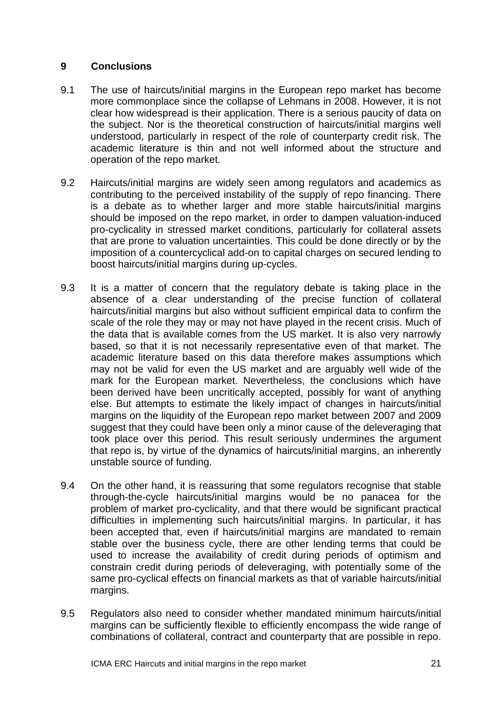#### **9 Conclusions**

- 9.1 The use of haircuts/initial margins in the European repo market has become more commonplace since the collapse of Lehmans in 2008. However, it is not clear how widespread is their application. There is a serious paucity of data on the subject. Nor is the theoretical construction of haircuts/initial margins well understood, particularly in respect of the role of counterparty credit risk. The academic literature is thin and not well informed about the structure and operation of the repo market.
- 9.2 Haircuts/initial margins are widely seen among regulators and academics as contributing to the perceived instability of the supply of repo financing. There is a debate as to whether larger and more stable haircuts/initial margins should be imposed on the repo market, in order to dampen valuation-induced pro-cyclicality in stressed market conditions, particularly for collateral assets that are prone to valuation uncertainties. This could be done directly or by the imposition of a countercyclical add-on to capital charges on secured lending to boost haircuts/initial margins during up-cycles.
- 9.3 It is a matter of concern that the regulatory debate is taking place in the absence of a clear understanding of the precise function of collateral haircuts/initial margins but also without sufficient empirical data to confirm the scale of the role they may or may not have played in the recent crisis. Much of the data that is available comes from the US market. It is also very narrowly based, so that it is not necessarily representative even of that market. The academic literature based on this data therefore makes assumptions which may not be valid for even the US market and are arguably well wide of the mark for the European market. Nevertheless, the conclusions which have been derived have been uncritically accepted, possibly for want of anything else. But attempts to estimate the likely impact of changes in haircuts/initial margins on the liquidity of the European repo market between 2007 and 2009 suggest that they could have been only a minor cause of the deleveraging that took place over this period. This result seriously undermines the argument that repo is, by virtue of the dynamics of haircuts/initial margins, an inherently unstable source of funding.
- 9.4 On the other hand, it is reassuring that some regulators recognise that stable through-the-cycle haircuts/initial margins would be no panacea for the problem of market pro-cyclicality, and that there would be significant practical difficulties in implementing such haircuts/initial margins. In particular, it has been accepted that, even if haircuts/initial margins are mandated to remain stable over the business cycle, there are other lending terms that could be used to increase the availability of credit during periods of optimism and constrain credit during periods of deleveraging, with potentially some of the same pro-cyclical effects on financial markets as that of variable haircuts/initial margins.
- 9.5 Regulators also need to consider whether mandated minimum haircuts/initial margins can be sufficiently flexible to efficiently encompass the wide range of combinations of collateral, contract and counterparty that are possible in repo.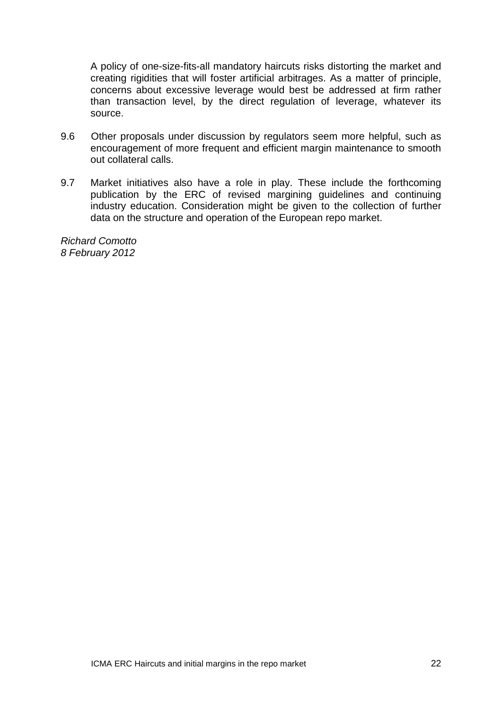A policy of one-size-fits-all mandatory haircuts risks distorting the market and creating rigidities that will foster artificial arbitrages. As a matter of principle, concerns about excessive leverage would best be addressed at firm rather than transaction level, by the direct regulation of leverage, whatever its source.

- 9.6 Other proposals under discussion by regulators seem more helpful, such as encouragement of more frequent and efficient margin maintenance to smooth out collateral calls.
- 9.7 Market initiatives also have a role in play. These include the forthcoming publication by the ERC of revised margining guidelines and continuing industry education. Consideration might be given to the collection of further data on the structure and operation of the European repo market.

*Richard Comotto 8 February 2012*